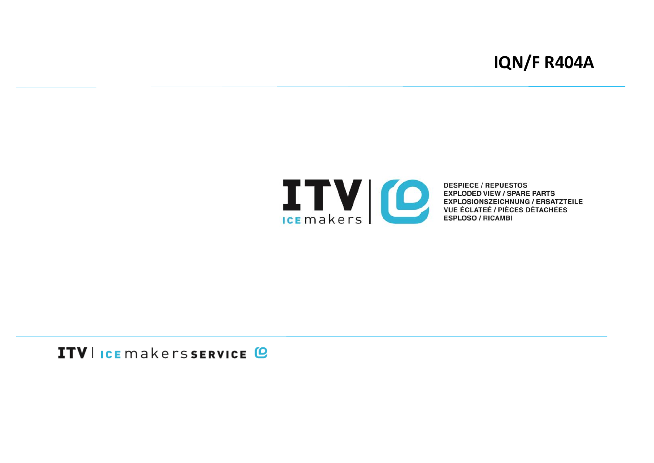# **IQN/F R404A**



**DESPIECE / REPUESTOS EXPLODED VIEW / SPARE PARTS<br>EXPLOSIONSZEICHNUNG / ERSATZTEILE<br>VUE ÉCLATEÉ / PIÈCES DÉTACHÉES ESPLOSO / RICAMBI** 

# ITV I ICE makers SERVICE @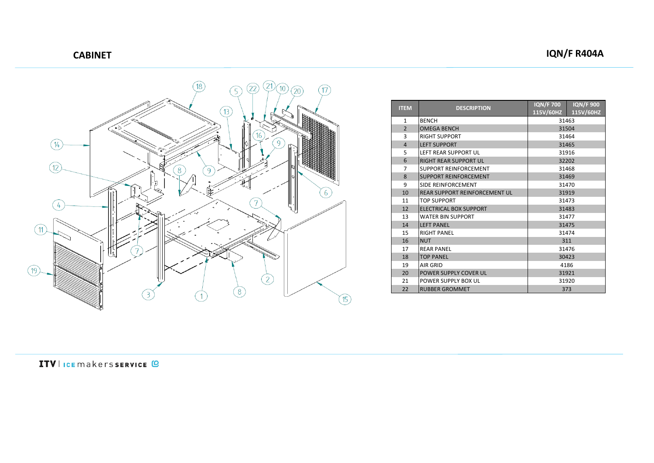

| <b>ITEM</b>    | <b>DESCRIPTION</b>                   | <b>IQN/F 700</b> | <b>IQN/F 900</b> |
|----------------|--------------------------------------|------------------|------------------|
|                |                                      | 115V/60HZ        | 115V/60HZ        |
| 1              | <b>BENCH</b>                         | 31463            |                  |
| $\overline{2}$ | <b>OMEGA BENCH</b>                   | 31504            |                  |
| 3              | <b>RIGHT SUPPORT</b>                 | 31464            |                  |
| $\overline{4}$ | <b>LEFT SUPPORT</b>                  | 31465            |                  |
| 5              | <b>LEFT REAR SUPPORT UL</b>          | 31916            |                  |
| 6              | <b>RIGHT REAR SUPPORT UL</b>         | 32202            |                  |
| $\overline{7}$ | <b>SUPPORT REINFORCEMENT</b>         | 31468            |                  |
| 8              | <b>SUPPORT REINFORCEMENT</b>         | 31469            |                  |
| 9              | SIDE REINFORCEMENT                   | 31470            |                  |
| 10             | <b>REAR SUPPORT REINFORCEMENT UL</b> | 31919            |                  |
| 11             | <b>TOP SUPPORT</b>                   | 31473            |                  |
| 12             | <b>ELECTRICAL BOX SUPPORT</b>        | 31483            |                  |
| 13             | <b>WATER BIN SUPPORT</b>             | 31477            |                  |
| 14             | <b>LEFT PANEL</b>                    | 31475            |                  |
| 15             | <b>RIGHT PANEL</b>                   | 31474            |                  |
| 16             | <b>NUT</b>                           | 311              |                  |
| 17             | <b>REAR PANEL</b>                    | 31476            |                  |
| 18             | <b>TOP PANEL</b>                     | 30423            |                  |
| 19             | AIR GRID                             | 4186             |                  |
| 20             | POWER SUPPLY COVER UL                | 31921            |                  |
| 21             | POWER SUPPLY BOX UL                  | 31920            |                  |
| 22             | <b>RUBBER GROMMET</b>                | 373              |                  |

ITV I ICE makerssERVICE @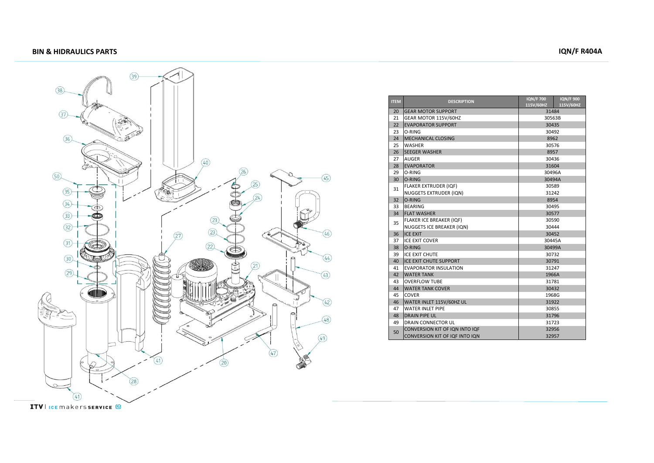### **BIN & HIDRAULICS PARTS IQN/F R404A**



| <b>ITEM</b> | <b>DESCRIPTION</b>             | <b>IQN/F 700</b><br>115V/60HZ | <b>IQN/F900</b><br>115V/60HZ |
|-------------|--------------------------------|-------------------------------|------------------------------|
| 20          | <b>GEAR MOTOR SUPPORT</b>      | 31484                         |                              |
| 21          | GEAR MOTOR 115V/60HZ           | 30563B                        |                              |
| 22          | <b>EVAPORATOR SUPPORT</b>      | 30435                         |                              |
| 23          | O-RING                         | 30492                         |                              |
| 24          | <b>MECHANICAL CLOSING</b>      | 8962                          |                              |
| 25          | <b>WASHER</b>                  | 30576                         |                              |
| 26          | <b>SEEGER WASHER</b>           | 8957                          |                              |
| 27          | AUGER                          | 30436                         |                              |
| 28          | <b>EVAPORATOR</b>              | 31604                         |                              |
| 29          | O-RING                         | 30496A                        |                              |
| 30          | O-RING                         | 30494A                        |                              |
| 31          | <b>FLAKER EXTRUDER (IQF)</b>   | 30589                         |                              |
|             | NUGGETS EXTRUDER (IQN)         | 31242                         |                              |
| 32          | O-RING                         | 8954                          |                              |
| 33          | <b>BEARING</b>                 | 30495                         |                              |
| 34          | <b>FLAT WASHER</b>             | 30577                         |                              |
| 35          | FLAKER ICE BREAKER (IQF)       | 30590                         |                              |
|             | NUGGETS ICE BREAKER (IQN)      | 30444                         |                              |
| 36          | <b>ICE EXIT</b>                | 30452                         |                              |
| 37          | <b>ICE EXIT COVER</b>          | 30445A                        |                              |
| 38          | O-RING                         | 30499A                        |                              |
| 39          | <b>ICE EXIT CHUTE</b>          | 30732                         |                              |
| 40          | <b>ICE EXIT CHUTE SUPPORT</b>  | 30791                         |                              |
| 41          | <b>EVAPORATOR INSULATION</b>   | 31247                         |                              |
| 42          | <b>WATER TANK</b>              | 1966A                         |                              |
| 43          | <b>OVERFLOW TUBE</b>           | 31781                         |                              |
| 44          | <b>WATER TANK COVER</b>        | 30432                         |                              |
| 45          | <b>COVER</b>                   | 1968G                         |                              |
| 46          | WATER INLET 115V/60HZ UL       | 31922                         |                              |
| 47          | <b>WATER INLET PIPE</b>        | 30855                         |                              |
| 48          | <b>DRAIN PIPE UL</b>           | 31796                         |                              |
| 49          | <b>DRAIN CONNECTOR UL</b>      | 31723                         |                              |
| 50          | CONVERSION KIT OF IQN INTO IQF | 32956                         |                              |
|             | CONVERSION KIT OF IQF INTO ION | 32957                         |                              |

**ITV** | ICE makers SERVICE <sup>(C)</sup>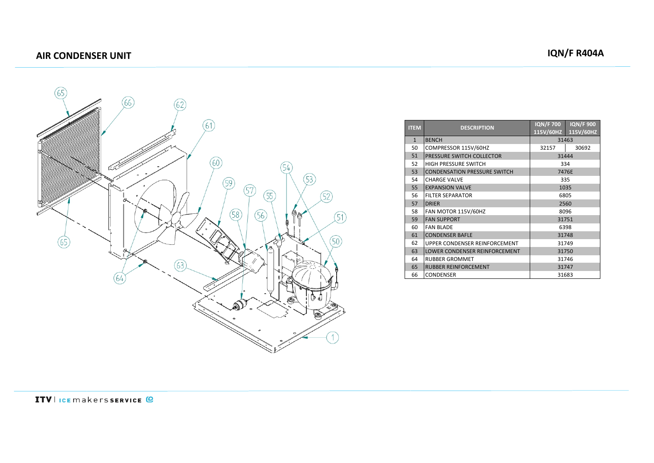## **AIR CONDENSER UNIT IQN/F R404A**



| <b>ITEM</b>  | <b>DESCRIPTION</b>                   | <b>IQN/F 700</b> | <b>IQN/F 900</b> |
|--------------|--------------------------------------|------------------|------------------|
|              |                                      | 115V/60HZ        | 115V/60HZ        |
| $\mathbf{1}$ | <b>BENCH</b>                         | 31463            |                  |
| 50           | COMPRESSOR 115V/60HZ                 | 32157            | 30692            |
| 51           | PRESSURE SWITCH COLLECTOR            | 31444            |                  |
| 52           | <b>HIGH PRESSURE SWITCH</b>          | 334              |                  |
| 53           | <b>CONDENSATION PRESSURE SWITCH</b>  | 7476E            |                  |
| 54           | <b>CHARGE VALVE</b>                  | 335              |                  |
| 55           | <b>EXPANSION VALVE</b>               | 1035             |                  |
| 56           | <b>FILTER SEPARATOR</b>              | 6805             |                  |
| 57           | <b>DRIER</b>                         | 2560             |                  |
| 58           | FAN MOTOR 115V/60HZ                  | 8096             |                  |
| 59           | <b>FAN SUPPORT</b>                   | 31751            |                  |
| 60           | <b>FAN BLADE</b>                     | 6398             |                  |
| 61           | <b>CONDENSER BAFLE</b>               | 31748            |                  |
| 62           | UPPER CONDENSER REINFORCEMENT        | 31749            |                  |
| 63           | <b>LOWER CONDENSER REINFORCEMENT</b> | 31750            |                  |
| 64           | <b>RUBBER GROMMET</b>                | 31746            |                  |
| 65           | <b>RUBBER REINFORCEMENT</b>          | 31747            |                  |
| 66           | <b>CONDENSER</b>                     | 31683            |                  |